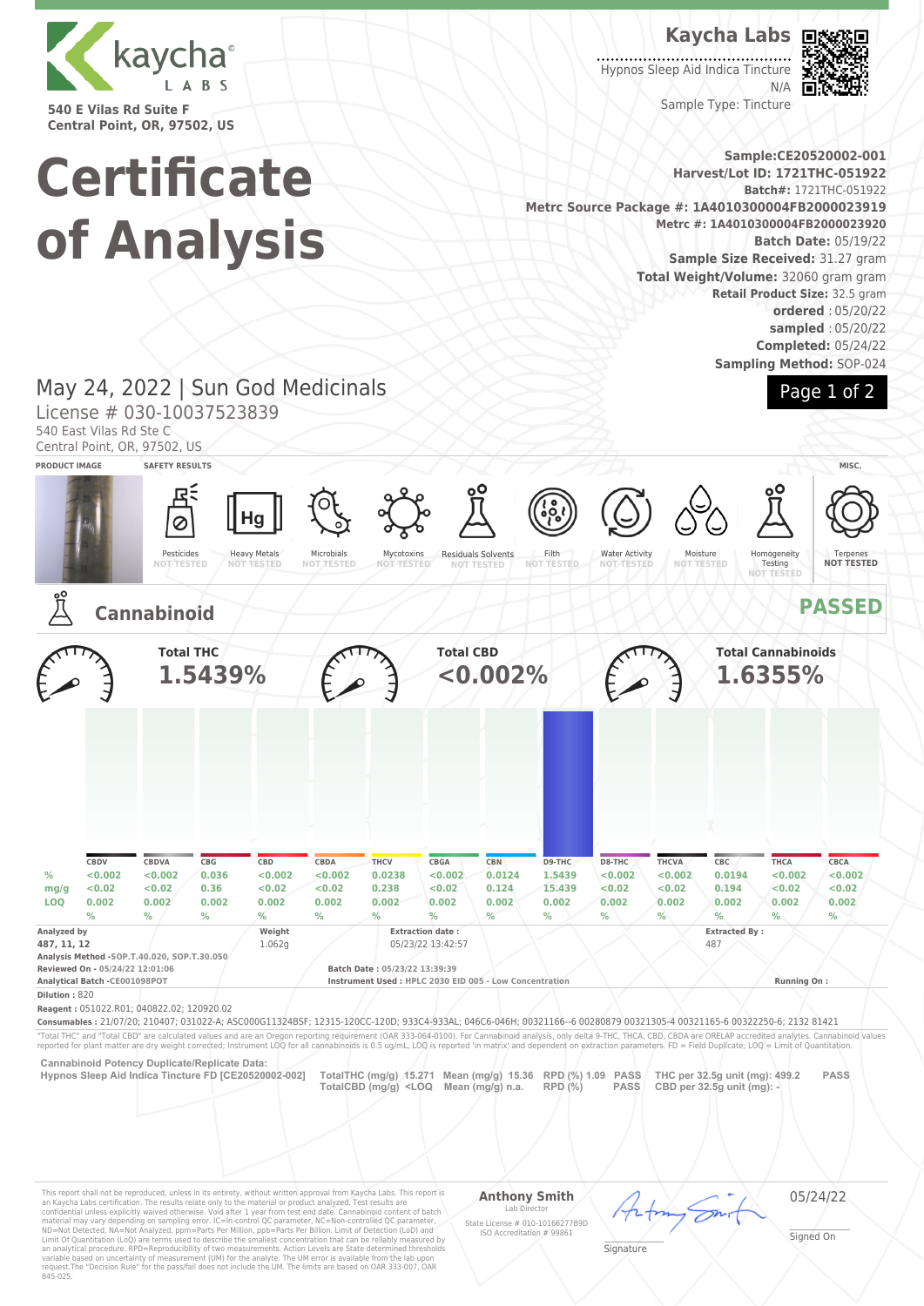

**540 E Vilas Rd Suite F Central Point, OR, 97502, US**

## **Kaycha Labs**

Hypnos Sleep Aid Indica Tincture N/A

Sample Type: Tincture



**Certificate of Analysis**

**Sample:CE20520002-001 Harvest/Lot ID: 1721THC-051922 Batch#:** 1721THC-051922 **Metrc Source Package #: 1A4010300004FB2000023919 Metrc #: 1A4010300004FB2000023920 Batch Date:** 05/19/22 **Sample Size Received:** 31.27 gram **Total Weight/Volume:** 32060 gram gram **Retail Product Size:** 32.5 gram **ordered** : 05/20/22 **sampled** : 05/20/22 **Completed:** 05/24/22

**Sampling Method:** SOP-024

Page 1 of 2

## May 24, 2022 | Sun God Medicinals

License # 030-10037523839

540 East Vilas Rd Ste C

Central Point, OR, 97502, US



This report shall not be reproduced, unless in its entirety, without written approval from Kaycha Labs. This report is<br>an Kaycha Labs certification. The results relate only to the material or product analyzed. Test result

#### **Anthony Smith** Lab Director

05/24/22

State License # 010-10166277B9D ISO Accreditation # 99861 \_\_\_\_\_\_\_\_\_\_\_\_\_\_\_\_\_\_\_ Signature

\_\_\_\_\_\_\_\_\_\_\_\_\_\_\_\_\_\_\_ Signed On